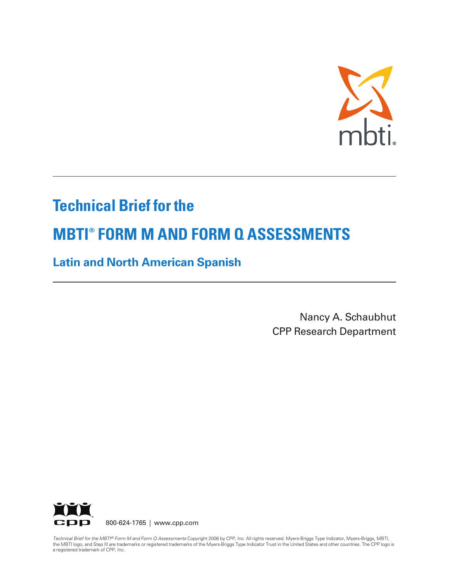

# **Technical Brief for the**

# **MBTI ® FORM M AND FORM Q ASSESSMENTS**

# **Latin and North American Spanish**

Nancy A. Schaubhut CPP Research Department



800-624-1765 | www.cpp.com

Technical Brief for the MBTI® Form M and Form Q Assessments Copyright 2008 by CPP, Inc. All rights reserved. Myers-Briggs Type Indicator, Myers-Briggs, MBTI, the MBTI logo, and Step III are trademarks or registered trademarks of the Myers-Briggs Type Indicator Trust in the United States and other countries. The CPP logo is a registered trademark of CPP, Inc.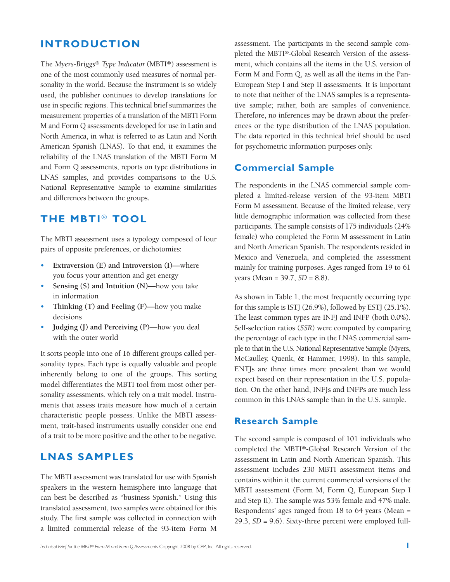### **INTRODUCTION**

The *Myers-Briggs® Type Indicator*(MBTI®) assessment is one of the most commonly used measures of normal personality in the world. Because the instrument is so widely used, the publisher continues to develop translations for use in specific regions. This technical brief summarizes the measurement properties of a translation of the MBTI Form M and Form Q assessments developed for use in Latin and North America, in what is referred to as Latin and North American Spanish (LNAS). To that end, it examines the reliability of the LNAS translation of the MBTI Form M and Form Q assessments, reports on type distributions in LNAS samples, and provides comparisons to the U.S. National Representative Sample to examine similarities and differences between the groups.

### **THE MBTI** *®* **TOOL**

The MBTI assessment uses a typology composed of four pairs of opposite preferences, or dichotomies:

- **Extraversion (E) and Introversion (I)—**where you focus your attention and get energy
- **Sensing (S) and Intuition (N)—**how you take in information
- **Thinking (T) and Feeling (F)—**how you make decisions
- **Judging (J) and Perceiving (P)—**how you deal with the outer world

It sorts people into one of 16 different groups called personality types. Each type is equally valuable and people inherently belong to one of the groups. This sorting model differentiates the MBTI tool from most other personality assessments, which rely on a trait model. Instruments that assess traits measure how much of a certain characteristic people possess. Unlike the MBTI assessment, trait-based instruments usually consider one end of a trait to be more positive and the other to be negative.

### **LNAS SAMPLES**

The MBTI assessment was translated for use with Spanish speakers in the western hemisphere into language that can best be described as "business Spanish." Using this translated assessment, two samples were obtained for this study. The first sample was collected in connection with a limited commercial release of the 93-item Form M

assessment. The participants in the second sample completed the MBTI®-Global Research Version of the assessment, which contains all the items in the U.S. version of Form M and Form Q, as well as all the items in the Pan-European Step I and Step II assessments. It is important to note that neither of the LNAS samples is a representative sample; rather, both are samples of convenience. Therefore, no inferences may be drawn about the preferences or the type distribution of the LNAS population. The data reported in this technical brief should be used for psychometric information purposes only.

#### **Commercial Sample**

The respondents in the LNAS commercial sample completed a limited-release version of the 93-item MBTI Form M assessment. Because of the limited release, very little demographic information was collected from these participants. The sample consists of 175 individuals (24% female) who completed the Form M assessment in Latin and North American Spanish. The respondents resided in Mexico and Venezuela, and completed the assessment mainly for training purposes. Ages ranged from 19 to 61 years (Mean = 39.7, *SD* = 8.8).

As shown in Table 1, the most frequently occurring type for this sample is ISTJ (26.9%), followed by ESTJ (25.1%). The least common types are INFJ and INFP (both 0.0%). Self-selection ratios (*SSR*) were computed by comparing the percentage of each type in the LNAS commercial sample to that in the U.S. National Representative Sample (Myers, McCaulley, Quenk, & Hammer, 1998). In this sample, ENTJs are three times more prevalent than we would expect based on their representation in the U.S. population. On the other hand, INFJs and INFPs are much less common in this LNAS sample than in the U.S. sample.

#### **Research Sample**

The second sample is composed of 101 individuals who completed the MBTI®-Global Research Version of the assessment in Latin and North American Spanish. This assessment includes 230 MBTI assessment items and contains within it the current commercial versions of the MBTI assessment (Form M, Form Q, European Step I and Step II). The sample was 53% female and 47% male. Respondents' ages ranged from 18 to 64 years (Mean = 29.3, *SD* = 9.6). Sixty-three percent were employed full-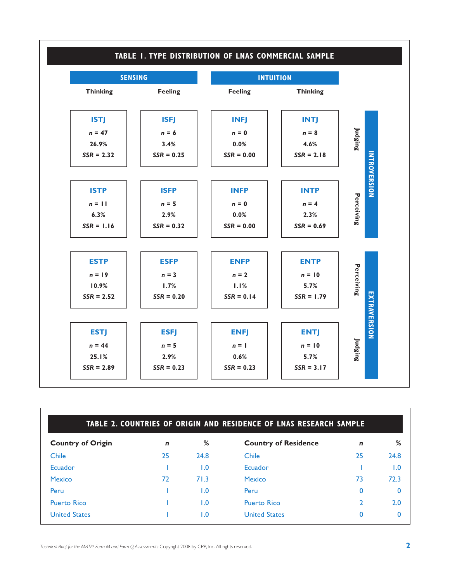

| TABLE 2. COUNTRIES OF ORIGIN AND RESIDENCE OF LNAS RESEARCH SAMPLE |             |      |                             |             |             |
|--------------------------------------------------------------------|-------------|------|-----------------------------|-------------|-------------|
| <b>Country of Origin</b>                                           | $\mathbf n$ | %    | <b>Country of Residence</b> | $\mathbf n$ | %           |
| Chile                                                              | 25          | 24.8 | Chile                       | 25          | 24.8        |
| Ecuador                                                            |             | 1.0  | Ecuador                     |             | 1.0         |
| <b>Mexico</b>                                                      | 72          | 71.3 | <b>Mexico</b>               | 73          | 72.3        |
| Peru                                                               |             | I.O  | Peru                        | 0           | $\mathbf 0$ |
| <b>Puerto Rico</b>                                                 |             | 1.0  | <b>Puerto Rico</b>          |             | 2.0         |
| <b>United States</b>                                               |             | I.O  | <b>United States</b>        | 0           | $\Omega$    |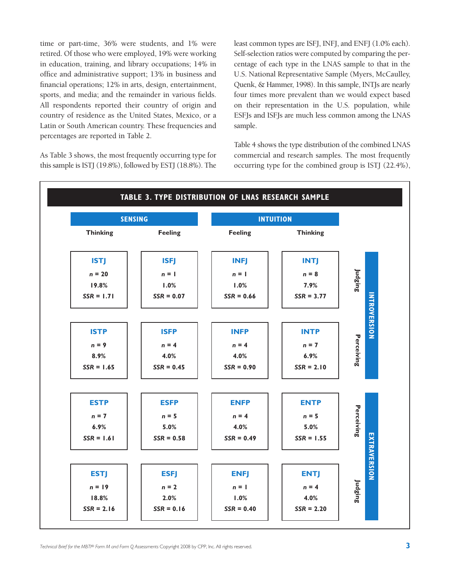time or part-time, 36% were students, and 1% were retired. Of those who were employed, 19% were working in education, training, and library occupations; 14% in office and administrative support; 13% in business and financial operations; 12% in arts, design, entertainment, sports, and media; and the remainder in various fields. All respondents reported their country of origin and country of residence as the United States, Mexico, or a Latin or South American country. These frequencies and percentages are reported in Table 2.

As Table 3 shows, the most frequently occurring type for this sample is ISTJ (19.8%), followed by ESTJ (18.8%). The

least common types are ISFJ, INFJ, and ENFJ (1.0% each). Self-selection ratios were computed by comparing the percentage of each type in the LNAS sample to that in the U.S. National Representative Sample (Myers, McCaulley, Quenk, & Hammer, 1998). In this sample, INTJs are nearly four times more prevalent than we would expect based on their representation in the U.S. population, while ESFJs and ISFJs are much less common among the LNAS sample.

Table 4 shows the type distribution of the combined LNAS commercial and research samples. The most frequently occurring type for the combined group is ISTJ (22.4%),

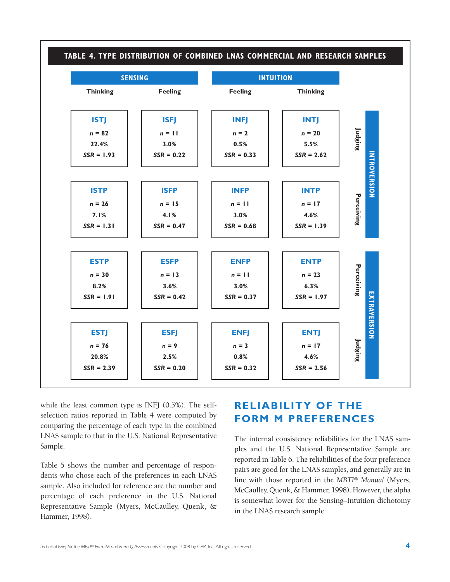

while the least common type is INFJ (0.5%). The selfselection ratios reported in Table 4 were computed by comparing the percentage of each type in the combined LNAS sample to that in the U.S. National Representative Sample.

Table 5 shows the number and percentage of respondents who chose each of the preferences in each LNAS sample. Also included for reference are the number and percentage of each preference in the U.S. National Representative Sample (Myers, McCaulley, Quenk, & Hammer, 1998).

# **RELIABILITY OF THE FORM M PREFERENCES**

The internal consistency reliabilities for the LNAS samples and the U.S. National Representative Sample are reported in Table 6. The reliabilities of the four preference pairs are good for the LNAS samples, and generally are in line with those reported in the *MBTI® Manual* (Myers, McCaulley, Quenk, & Hammer, 1998). However, the alpha is somewhat lower for the Sensing–Intuition dichotomy in the LNAS research sample.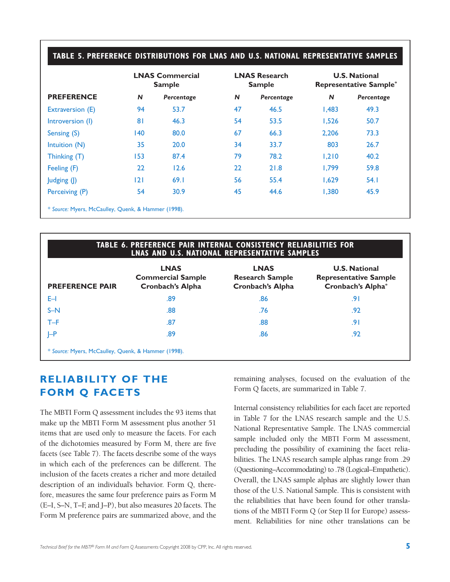#### **TABLE 5. PREFERENCE DISTRIBUTIONS FOR LNAS AND U.S. NATIONAL REPRESENTATIVE SAMPLES**

|                                                     | <b>LNAS Commercial</b><br><b>Sample</b> |            | <b>LNAS Research</b><br><b>Sample</b> |            | <b>U.S. National</b><br><b>Representative Sample*</b> |            |
|-----------------------------------------------------|-----------------------------------------|------------|---------------------------------------|------------|-------------------------------------------------------|------------|
| <b>PREFERENCE</b>                                   | $\mathbf N$                             | Percentage | $\mathsf{N}$                          | Percentage | $\mathbf N$                                           | Percentage |
| Extraversion (E)                                    | 94                                      | 53.7       | 47                                    | 46.5       | 1,483                                                 | 49.3       |
| Introversion (I)                                    | 81                                      | 46.3       | 54                                    | 53.5       | 1.526                                                 | 50.7       |
| Sensing (S)                                         | 140                                     | 80.0       | 67                                    | 66.3       | 2.206                                                 | 73.3       |
| Intuition $(N)$                                     | 35                                      | 20.0       | 34                                    | 33.7       | 803                                                   | 26.7       |
| Thinking (T)                                        | 153                                     | 87.4       | 79                                    | 78.2       | 1.210                                                 | 40.2       |
| Feeling (F)                                         | 22                                      | 12.6       | 22                                    | 21.8       | 1,799                                                 | 59.8       |
| Judging (J)                                         | 121                                     | 69.1       | 56                                    | 55.4       | 1,629                                                 | 54.1       |
| Perceiving (P)                                      | 54                                      | 30.9       | 45                                    | 44.6       | 1,380                                                 | 45.9       |
| * Source: Myers, McCaulley, Quenk, & Hammer (1998). |                                         |            |                                       |            |                                                       |            |

#### **TABLE 6. PREFERENCE PAIR INTERNAL CONSISTENCY RELIABILITIES FOR LNAS AND U.S. NATIONAL REPRESENTATIVE SAMPLES**

| <b>PREFERENCE PAIR</b>                              | <b>LNAS</b><br><b>Commercial Sample</b><br><b>Cronbach's Alpha</b> | <b>LNAS</b><br><b>Research Sample</b><br>Cronbach's Alpha | <b>U.S. National</b><br><b>Representative Sample</b><br><b>Cronbach's Alpha*</b> |  |  |
|-----------------------------------------------------|--------------------------------------------------------------------|-----------------------------------------------------------|----------------------------------------------------------------------------------|--|--|
| E-I                                                 | .89                                                                | .86                                                       | .91                                                                              |  |  |
| $S-N$                                               | .88                                                                | .76                                                       | .92                                                                              |  |  |
| $T - F$                                             | .87                                                                | .88                                                       | .91                                                                              |  |  |
| $\vdash$ P                                          | .89                                                                | .86                                                       | .92                                                                              |  |  |
| * Source: Myers, McCaulley, Quenk, & Hammer (1998). |                                                                    |                                                           |                                                                                  |  |  |

## **RELIABILITY OF THE FORM Q FACETS**

The MBTI Form Q assessment includes the 93 items that make up the MBTI Form M assessment plus another 51 items that are used only to measure the facets. For each of the dichotomies measured by Form M, there are five facets (see Table 7). The facets describe some of the ways in which each of the preferences can be different. The inclusion of the facets creates a richer and more detailed description of an individual's behavior. Form Q, therefore, measures the same four preference pairs as Form M (E–I, S–N, T–F, and J–P), but also measures 20 facets. The Form M preference pairs are summarized above, and the remaining analyses, focused on the evaluation of the Form Q facets, are summarized in Table 7.

Internal consistency reliabilities for each facet are reported in Table 7 for the LNAS research sample and the U.S. National Representative Sample. The LNAS commercial sample included only the MBTI Form M assessment, precluding the possibility of examining the facet reliabilities. The LNAS research sample alphas range from .29 (Questioning–Accommodating) to .78 (Logical–Empathetic). Overall, the LNAS sample alphas are slightly lower than those of the U.S. National Sample. This is consistent with the reliabilities that have been found for other translations of the MBTI Form Q (or Step II for Europe) assessment. Reliabilities for nine other translations can be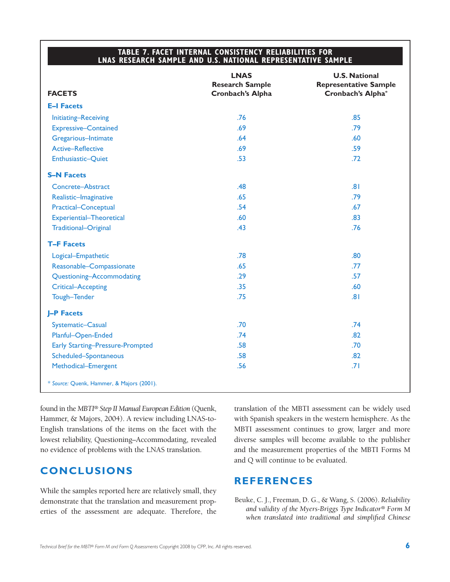#### **TABLE 7. FACET INTERNAL CONSISTENCY RELIABILITIES FOR LNAS RESEARCH SAMPLE AND U.S. NATIONAL REPRESENTATIVE SAMPLE**

|                                           | <b>LNAS</b>            | <b>U.S. National</b>         |
|-------------------------------------------|------------------------|------------------------------|
|                                           | <b>Research Sample</b> | <b>Representative Sample</b> |
| <b>FACETS</b>                             | Cronbach's Alpha       | Cronbach's Alpha*            |
| <b>E-I Facets</b>                         |                        |                              |
| <b>Initiating-Receiving</b>               | .76                    | .85                          |
| <b>Expressive-Contained</b>               | .69                    | .79                          |
| Gregarious-Intimate                       | .64                    | .60                          |
| <b>Active-Reflective</b>                  | .69                    | .59                          |
| Enthusiastic-Quiet                        | .53                    | .72                          |
| <b>S-N Facets</b>                         |                        |                              |
| Concrete-Abstract                         | .48                    | .81                          |
| Realistic-Imaginative                     | .65                    | .79                          |
| Practical-Conceptual                      | .54                    | .67                          |
| Experiential-Theoretical                  | .60                    | .83                          |
| Traditional-Original                      | .43                    | .76                          |
| <b>T-F Facets</b>                         |                        |                              |
| Logical-Empathetic                        | .78                    | .80                          |
| Reasonable-Compassionate                  | .65                    | .77                          |
| Questioning-Accommodating                 | .29                    | .57                          |
| Critical-Accepting                        | .35                    | .60                          |
| Tough-Tender                              | .75                    | .81                          |
| <b>J-P Facets</b>                         |                        |                              |
| Systematic-Casual                         | .70                    | .74                          |
| Planful-Open-Ended                        | .74                    | .82                          |
| <b>Early Starting-Pressure-Prompted</b>   | .58                    | .70                          |
| Scheduled-Spontaneous                     | .58                    | .82                          |
| Methodical-Emergent                       | .56                    | .71                          |
| * Source: Quenk, Hammer, & Majors (2001). |                        |                              |

found in the *MBTI® Step II Manual European Edition* (Quenk, Hammer, & Majors, 2004). A review including LNAS-to-English translations of the items on the facet with the lowest reliability, Questioning–Accommodating, revealed no evidence of problems with the LNAS translation.

## **CONCLUSIONS**

While the samples reported here are relatively small, they demonstrate that the translation and measurement properties of the assessment are adequate. Therefore, the translation of the MBTI assessment can be widely used with Spanish speakers in the western hemisphere. As the MBTI assessment continues to grow, larger and more diverse samples will become available to the publisher and the measurement properties of the MBTI Forms M and Q will continue to be evaluated.

## **REFERENCES**

Beuke, C. J., Freeman, D. G., & Wang, S. (2006). *Reliability and validity of the Myers-Briggs Type Indicator® Form M when translated into traditional and simplified Chinese*